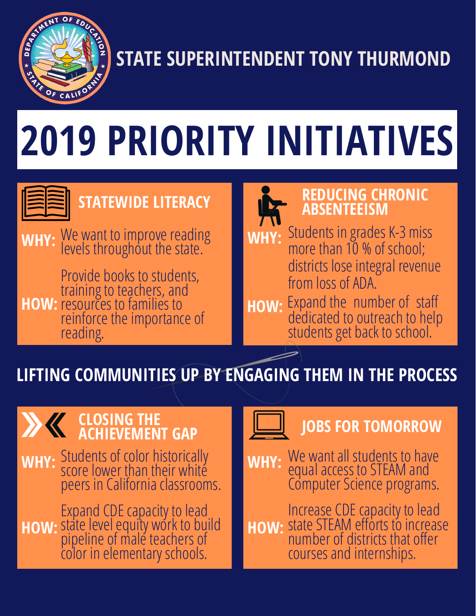

# **STATE SUPERINTENDENT TONY THURMOND**

# **2019 PRIORITY INITIATIVES**



## **STATEWIDE LITERACY**

**WHY:** We want to improve reading levels throughout the state.

**HOW:** Provide books to students, training to teachers, and resources to families to reinforce the importance of reading.



- **WHY:** Students in grades K-3 miss more than 10 % of school; districts lose integral revenue from loss of ADA.
- dedicated to outreach to help students get back to school. **HOW:** Expand the number of staff

## **LIFTING COMMUNITIES UP BY ENGAGING THEM IN THE PROCESS**

#### **CLOSING THE ACHIEVEMENT GAP**

**WHY:** Students of color historically score lower than their white peers in California classrooms.

**HOW:** Expand CDEcapacity to lead state level equity work to build pipeline of male teachers of color in elementary schools.



## **JOBS FOR TOMORROW**

**WHY: WHY:** We want all students to have equalaccess to STEAM and Computer Science programs.

**HOW:** Increase CDE capacity to lead state STEAM efforts to increase **:**number of districts that offer courses and internships. **HOW**